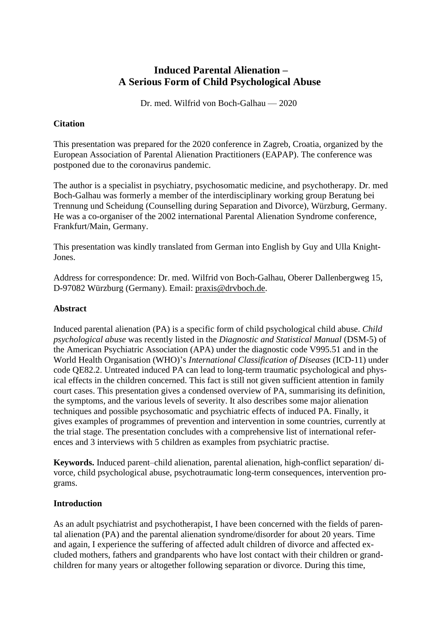# **Induced Parental Alienation – A Serious Form of Child Psychological Abuse**

Dr. med. Wilfrid von Boch-Galhau — 2020

### **Citation**

This presentation was prepared for the 2020 conference in Zagreb, Croatia, organized by the European Association of Parental Alienation Practitioners (EAPAP). The conference was postponed due to the coronavirus pandemic.

The author is a specialist in psychiatry, psychosomatic medicine, and psychotherapy. Dr. med Boch-Galhau was formerly a member of the interdisciplinary working group Beratung bei Trennung und Scheidung (Counselling during Separation and Divorce), Würzburg, Germany. He was a co-organiser of the 2002 international Parental Alienation Syndrome conference, Frankfurt/Main, Germany.

This presentation was kindly translated from German into English by Guy and Ulla Knight-Jones.

Address for correspondence: Dr. med. Wilfrid von Boch-Galhau, Oberer Dallenbergweg 15, D-97082 Würzburg (Germany). Email: [praxis@drvboch.de.](mailto:praxis@drvboch.de)

### **Abstract**

Induced parental alienation (PA) is a specific form of child psychological child abuse. *Child psychological abuse* was recently listed in the *Diagnostic and Statistical Manual* (DSM-5) of the American Psychiatric Association (APA) under the diagnostic code V995.51 and in the World Health Organisation (WHO)'s *International Classification of Diseases* (ICD-11) under code QE82.2. Untreated induced PA can lead to long-term traumatic psychological and physical effects in the children concerned. This fact is still not given sufficient attention in family court cases. This presentation gives a condensed overview of PA, summarising its definition, the symptoms, and the various levels of severity. It also describes some major alienation techniques and possible psychosomatic and psychiatric effects of induced PA. Finally, it gives examples of programmes of prevention and intervention in some countries, currently at the trial stage. The presentation concludes with a comprehensive list of international references and 3 interviews with 5 children as examples from psychiatric practise.

**Keywords.** Induced parent–child alienation, parental alienation, high-conflict separation/ divorce, child psychological abuse, psychotraumatic long-term consequences, intervention programs.

# **Introduction**

As an adult psychiatrist and psychotherapist, I have been concerned with the fields of parental alienation (PA) and the parental alienation syndrome/disorder for about 20 years. Time and again, I experience the suffering of affected adult children of divorce and affected excluded mothers, fathers and grandparents who have lost contact with their children or grandchildren for many years or altogether following separation or divorce. During this time,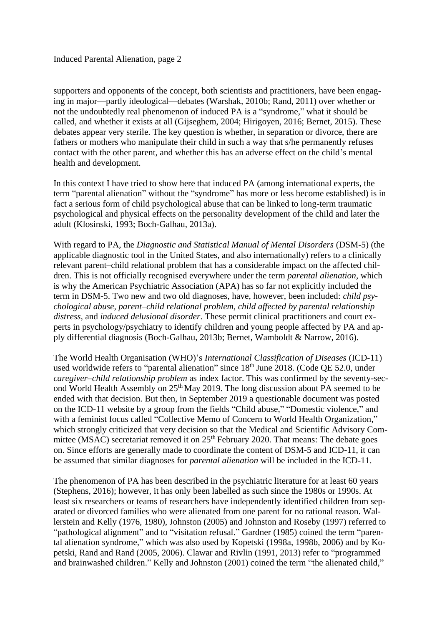supporters and opponents of the concept, both scientists and practitioners, have been engaging in major—partly ideological—debates (Warshak, 2010b; Rand, 2011) over whether or not the undoubtedly real phenomenon of induced PA is a "syndrome," what it should be called, and whether it exists at all (Gijseghem, 2004; Hirigoyen, 2016; Bernet, 2015). These debates appear very sterile. The key question is whether, in separation or divorce, there are fathers or mothers who manipulate their child in such a way that s/he permanently refuses contact with the other parent, and whether this has an adverse effect on the child's mental health and development.

In this context I have tried to show here that induced PA (among international experts, the term "parental alienation" without the "syndrome" has more or less become established) is in fact a serious form of child psychological abuse that can be linked to long-term traumatic psychological and physical effects on the personality development of the child and later the adult (Klosinski, 1993; Boch-Galhau, 2013a).

With regard to PA, the *Diagnostic and Statistical Manual of Mental Disorders* (DSM-5) (the applicable diagnostic tool in the United States, and also internationally) refers to a clinically relevant parent–child relational problem that has a considerable impact on the affected children. This is not officially recognised everywhere under the term *parental alienation,* which is why the American Psychiatric Association (APA) has so far not explicitly included the term in DSM-5. Two new and two old diagnoses, have, however, been included: *child psychological abuse, parent–child relational problem, child affected by parental relationship distress,* and *induced delusional disorder*. These permit clinical practitioners and court experts in psychology/psychiatry to identify children and young people affected by PA and apply differential diagnosis (Boch-Galhau, 2013b; Bernet, Wamboldt & Narrow, 2016).

The World Health Organisation (WHO)'s *International Classification of Diseases* (ICD-11) used worldwide refers to "parental alienation" since 18<sup>th</sup> June 2018. (Code QE 52.0, under *caregiver–child relationship problem* as index factor. This was confirmed by the seventy-second World Health Assembly on 25th May 2019. The long discussion about PA seemed to be ended with that decision. But then, in September 2019 a questionable document was posted on the ICD-11 website by a group from the fields "Child abuse," "Domestic violence," and with a feminist focus called "Collective Memo of Concern to World Health Organization," which strongly criticized that very decision so that the Medical and Scientific Advisory Committee (MSAC) secretariat removed it on  $25<sup>th</sup>$  February 2020. That means: The debate goes on. Since efforts are generally made to coordinate the content of DSM-5 and ICD-11, it can be assumed that similar diagnoses for *parental alienation* will be included in the ICD-11.

The phenomenon of PA has been described in the psychiatric literature for at least 60 years (Stephens, 2016); however, it has only been labelled as such since the 1980s or 1990s. At least six researchers or teams of researchers have independently identified children from separated or divorced families who were alienated from one parent for no rational reason. Wallerstein and Kelly (1976, 1980), Johnston (2005) and Johnston and Roseby (1997) referred to "pathological alignment" and to "visitation refusal." Gardner (1985) coined the term "parental alienation syndrome," which was also used by Kopetski (1998a, 1998b, 2006) and by Kopetski, Rand and Rand (2005, 2006). Clawar and Rivlin (1991, 2013) refer to "programmed and brainwashed children." Kelly and Johnston (2001) coined the term "the alienated child,"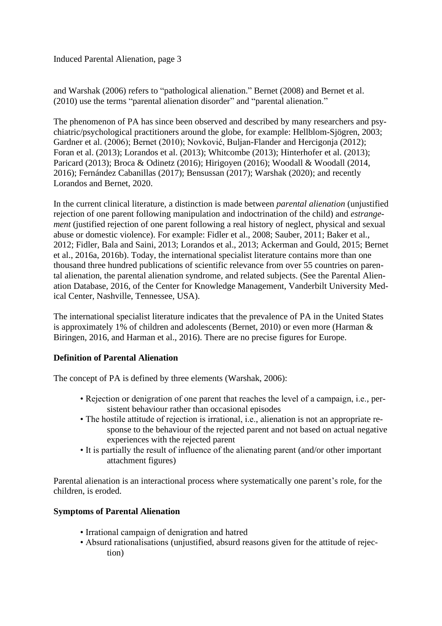and Warshak (2006) refers to "pathological alienation." Bernet (2008) and Bernet et al. (2010) use the terms "parental alienation disorder" and "parental alienation."

The phenomenon of PA has since been observed and described by many researchers and psychiatric/psychological practitioners around the globe, for example: Hellblom-Sjögren, 2003; Gardner et al. (2006); Bernet (2010); Novković, Buljan-Flander and Hercigonja (2012); Foran et al. (2013); Lorandos et al. (2013); Whitcombe (2013); Hinterhofer et al. (2013); Paricard (2013); Broca & Odinetz (2016); Hirigoyen (2016); Woodall & Woodall (2014, 2016); Fernández Cabanillas (2017); Bensussan (2017); Warshak (2020); and recently Lorandos and Bernet, 2020.

In the current clinical literature, a distinction is made between *parental alienation* (unjustified rejection of one parent following manipulation and indoctrination of the child) and *estrangement* (justified rejection of one parent following a real history of neglect, physical and sexual abuse or domestic violence). For example: Fidler et al., 2008; Sauber, 2011; Baker et al., 2012; Fidler, Bala and Saini, 2013; Lorandos et al., 2013; Ackerman and Gould, 2015; Bernet et al., 2016a, 2016b). Today, the international specialist literature contains more than one thousand three hundred publications of scientific relevance from over 55 countries on parental alienation, the parental alienation syndrome, and related subjects. (See the Parental Alienation Database, 2016, of the Center for Knowledge Management, Vanderbilt University Medical Center, Nashville, Tennessee, USA).

The international specialist literature indicates that the prevalence of PA in the United States is approximately 1% of children and adolescents (Bernet, 2010) or even more (Harman & Biringen, 2016, and Harman et al., 2016). There are no precise figures for Europe.

# **Definition of Parental Alienation**

The concept of PA is defined by three elements (Warshak, 2006):

- Rejection or denigration of one parent that reaches the level of a campaign, i.e., persistent behaviour rather than occasional episodes
- The hostile attitude of rejection is irrational, i.e., alienation is not an appropriate response to the behaviour of the rejected parent and not based on actual negative experiences with the rejected parent
- It is partially the result of influence of the alienating parent (and/or other important attachment figures)

Parental alienation is an interactional process where systematically one parent's role, for the children, is eroded.

### **Symptoms of Parental Alienation**

- Irrational campaign of denigration and hatred
- Absurd rationalisations (unjustified, absurd reasons given for the attitude of rejection)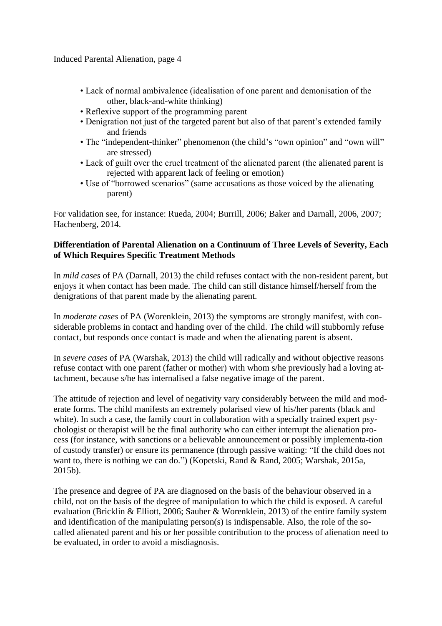- Lack of normal ambivalence (idealisation of one parent and demonisation of the other, black-and-white thinking)
- Reflexive support of the programming parent
- Denigration not just of the targeted parent but also of that parent's extended family and friends
- The "independent-thinker" phenomenon (the child's "own opinion" and "own will" are stressed)
- Lack of guilt over the cruel treatment of the alienated parent (the alienated parent is rejected with apparent lack of feeling or emotion)
- Use of "borrowed scenarios" (same accusations as those voiced by the alienating parent)

For validation see, for instance: Rueda, 2004; Burrill, 2006; Baker and Darnall, 2006, 2007; Hachenberg, 2014.

# **Differentiation of Parental Alienation on a Continuum of Three Levels of Severity, Each of Which Requires Specific Treatment Methods**

In *mild cases* of PA (Darnall, 2013) the child refuses contact with the non-resident parent, but enjoys it when contact has been made. The child can still distance himself/herself from the denigrations of that parent made by the alienating parent.

In *moderate cases* of PA (Worenklein, 2013) the symptoms are strongly manifest, with considerable problems in contact and handing over of the child. The child will stubbornly refuse contact, but responds once contact is made and when the alienating parent is absent.

In *severe cases* of PA (Warshak, 2013) the child will radically and without objective reasons refuse contact with one parent (father or mother) with whom s/he previously had a loving attachment, because s/he has internalised a false negative image of the parent.

The attitude of rejection and level of negativity vary considerably between the mild and moderate forms. The child manifests an extremely polarised view of his/her parents (black and white). In such a case, the family court in collaboration with a specially trained expert psychologist or therapist will be the final authority who can either interrupt the alienation process (for instance, with sanctions or a believable announcement or possibly implementa-tion of custody transfer) or ensure its permanence (through passive waiting: "If the child does not want to, there is nothing we can do.") (Kopetski, Rand & Rand, 2005; Warshak, 2015a, 2015b).

The presence and degree of PA are diagnosed on the basis of the behaviour observed in a child, not on the basis of the degree of manipulation to which the child is exposed. A careful evaluation (Bricklin & Elliott, 2006; Sauber & Worenklein, 2013) of the entire family system and identification of the manipulating person(s) is indispensable. Also, the role of the socalled alienated parent and his or her possible contribution to the process of alienation need to be evaluated, in order to avoid a misdiagnosis.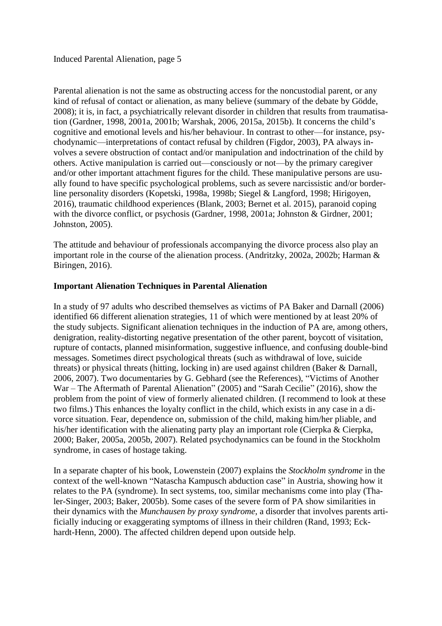Parental alienation is not the same as obstructing access for the noncustodial parent, or any kind of refusal of contact or alienation, as many believe (summary of the debate by Gödde, 2008); it is, in fact, a psychiatrically relevant disorder in children that results from traumatisation (Gardner, 1998, 2001a, 2001b; Warshak, 2006, 2015a, 2015b). It concerns the child's cognitive and emotional levels and his/her behaviour. In contrast to other—for instance, psychodynamic—interpretations of contact refusal by children (Figdor, 2003), PA always involves a severe obstruction of contact and/or manipulation and indoctrination of the child by others. Active manipulation is carried out—consciously or not—by the primary caregiver and/or other important attachment figures for the child. These manipulative persons are usually found to have specific psychological problems, such as severe narcissistic and/or borderline personality disorders (Kopetski, 1998a, 1998b; Siegel & Langford, 1998; Hirigoyen, 2016), traumatic childhood experiences (Blank, 2003; Bernet et al. 2015), paranoid coping with the divorce conflict, or psychosis (Gardner, 1998, 2001a; Johnston & Girdner, 2001; Johnston, 2005).

The attitude and behaviour of professionals accompanying the divorce process also play an important role in the course of the alienation process. (Andritzky, 2002a, 2002b; Harman & Biringen, 2016).

### **Important Alienation Techniques in Parental Alienation**

In a study of 97 adults who described themselves as victims of PA Baker and Darnall (2006) identified 66 different alienation strategies, 11 of which were mentioned by at least 20% of the study subjects. Significant alienation techniques in the induction of PA are, among others, denigration, reality-distorting negative presentation of the other parent, boycott of visitation, rupture of contacts, planned misinformation, suggestive influence, and confusing double-bind messages. Sometimes direct psychological threats (such as withdrawal of love, suicide threats) or physical threats (hitting, locking in) are used against children (Baker & Darnall, 2006, 2007). Two documentaries by G. Gebhard (see the References), "Victims of Another War – The Aftermath of Parental Alienation" (2005) and "Sarah Cecilie" (2016), show the problem from the point of view of formerly alienated children. (I recommend to look at these two films.) This enhances the loyalty conflict in the child, which exists in any case in a divorce situation. Fear, dependence on, submission of the child, making him/her pliable, and his/her identification with the alienating party play an important role (Cierpka & Cierpka, 2000; Baker, 2005a, 2005b, 2007). Related psychodynamics can be found in the Stockholm syndrome, in cases of hostage taking.

In a separate chapter of his book, Lowenstein (2007) explains the *Stockholm syndrome* in the context of the well-known "Natascha Kampusch abduction case" in Austria, showing how it relates to the PA (syndrome). In sect systems, too, similar mechanisms come into play (Thaler-Singer, 2003; Baker, 2005b). Some cases of the severe form of PA show similarities in their dynamics with the *Munchausen by proxy syndrome*, a disorder that involves parents artificially inducing or exaggerating symptoms of illness in their children (Rand, 1993; Eckhardt-Henn, 2000). The affected children depend upon outside help.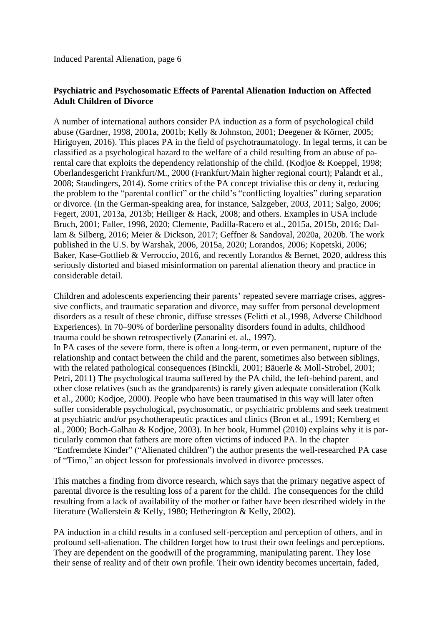# **Psychiatric and Psychosomatic Effects of Parental Alienation Induction on Affected Adult Children of Divorce**

A number of international authors consider PA induction as a form of psychological child abuse (Gardner, 1998, 2001a, 2001b; Kelly & Johnston, 2001; Deegener & Körner, 2005; Hirigoyen, 2016). This places PA in the field of psychotraumatology. In legal terms, it can be classified as a psychological hazard to the welfare of a child resulting from an abuse of parental care that exploits the dependency relationship of the child. (Kodjoe & Koeppel, 1998; Oberlandesgericht Frankfurt/M., 2000 (Frankfurt/Main higher regional court); Palandt et al., 2008; Staudingers, 2014). Some critics of the PA concept trivialise this or deny it, reducing the problem to the "parental conflict" or the child's "conflicting loyalties" during separation or divorce. (In the German-speaking area, for instance, Salzgeber, 2003, 2011; Salgo, 2006; Fegert, 2001, 2013a, 2013b; Heiliger & Hack, 2008; and others. Examples in USA include Bruch, 2001; Faller, 1998, 2020; Clemente, Padilla-Racero et al., 2015a, 2015b, 2016; Dallam & Silberg, 2016; Meier & Dickson, 2017; Geffner & Sandoval, 2020a, 2020b. The work published in the U.S. by Warshak, 2006, 2015a, 2020; Lorandos, 2006; Kopetski, 2006; Baker, Kase-Gottlieb & Verroccio, 2016, and recently Lorandos & Bernet, 2020, address this seriously distorted and biased misinformation on parental alienation theory and practice in considerable detail.

Children and adolescents experiencing their parents' repeated severe marriage crises, aggressive conflicts, and traumatic separation and divorce, may suffer from personal development disorders as a result of these chronic, diffuse stresses (Felitti et al.,1998, Adverse Childhood Experiences). In 70–90% of borderline personality disorders found in adults, childhood trauma could be shown retrospectively (Zanarini et. al., 1997). In PA cases of the severe form, there is often a long-term, or even permanent, rupture of the relationship and contact between the child and the parent, sometimes also between siblings, with the related pathological consequences (Binckli, 2001; Bäuerle & Moll-Strobel, 2001; Petri, 2011) The psychological trauma suffered by the PA child, the left-behind parent, and other close relatives (such as the grandparents) is rarely given adequate consideration (Kolk et al., 2000; Kodjoe, 2000). People who have been traumatised in this way will later often suffer considerable psychological, psychosomatic, or psychiatric problems and seek treatment at psychiatric and/or psychotherapeutic practices and clinics (Bron et al., 1991; Kernberg et al., 2000; Boch-Galhau & Kodjoe, 2003). In her book, Hummel (2010) explains why it is particularly common that fathers are more often victims of induced PA. In the chapter "Entfremdete Kinder" ("Alienated children") the author presents the well-researched PA case of "Timo," an object lesson for professionals involved in divorce processes.

This matches a finding from divorce research, which says that the primary negative aspect of parental divorce is the resulting loss of a parent for the child. The consequences for the child resulting from a lack of availability of the mother or father have been described widely in the literature (Wallerstein & Kelly, 1980; Hetherington & Kelly, 2002).

PA induction in a child results in a confused self-perception and perception of others, and in profound self-alienation. The children forget how to trust their own feelings and perceptions. They are dependent on the goodwill of the programming, manipulating parent. They lose their sense of reality and of their own profile. Their own identity becomes uncertain, faded,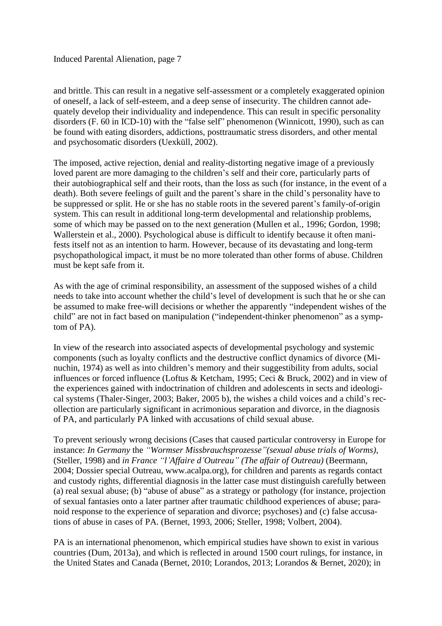and brittle. This can result in a negative self-assessment or a completely exaggerated opinion of oneself, a lack of self-esteem, and a deep sense of insecurity. The children cannot adequately develop their individuality and independence. This can result in specific personality disorders (F. 60 in ICD-10) with the "false self" phenomenon (Winnicott, 1990), such as can be found with eating disorders, addictions, posttraumatic stress disorders, and other mental and psychosomatic disorders (Uexküll, 2002).

The imposed, active rejection, denial and reality-distorting negative image of a previously loved parent are more damaging to the children's self and their core, particularly parts of their autobiographical self and their roots, than the loss as such (for instance, in the event of a death). Both severe feelings of guilt and the parent's share in the child's personality have to be suppressed or split. He or she has no stable roots in the severed parent's family-of-origin system. This can result in additional long-term developmental and relationship problems, some of which may be passed on to the next generation (Mullen et al., 1996; Gordon, 1998; Wallerstein et al., 2000). Psychological abuse is difficult to identify because it often manifests itself not as an intention to harm. However, because of its devastating and long-term psychopathological impact, it must be no more tolerated than other forms of abuse. Children must be kept safe from it.

As with the age of criminal responsibility, an assessment of the supposed wishes of a child needs to take into account whether the child's level of development is such that he or she can be assumed to make free-will decisions or whether the apparently "independent wishes of the child" are not in fact based on manipulation ("independent-thinker phenomenon" as a symptom of PA).

In view of the research into associated aspects of developmental psychology and systemic components (such as loyalty conflicts and the destructive conflict dynamics of divorce (Minuchin, 1974) as well as into children's memory and their suggestibility from adults, social influences or forced influence (Loftus & Ketcham, 1995; Ceci & Bruck, 2002) and in view of the experiences gained with indoctrination of children and adolescents in sects and ideological systems (Thaler-Singer, 2003; Baker, 2005 b), the wishes a child voices and a child's recollection are particularly significant in acrimonious separation and divorce, in the diagnosis of PA, and particularly PA linked with accusations of child sexual abuse.

To prevent seriously wrong decisions (Cases that caused particular controversy in Europe for instance: *In Germany* the *"Wormser Missbrauchsprozesse"(sexual abuse trials of Worms),*  (Steller, 1998) and *in France "l'Affaire d'Outreau" (The affair of Outreau)* (Beermann, 2004; Dossier special Outreau, www.acalpa.org), for children and parents as regards contact and custody rights, differential diagnosis in the latter case must distinguish carefully between (a) real sexual abuse; (b) "abuse of abuse" as a strategy or pathology (for instance, projection of sexual fantasies onto a later partner after traumatic childhood experiences of abuse; paranoid response to the experience of separation and divorce; psychoses) and (c) false accusations of abuse in cases of PA. (Bernet, 1993, 2006; Steller, 1998; Volbert, 2004).

PA is an international phenomenon, which empirical studies have shown to exist in various countries (Dum, 2013a), and which is reflected in around 1500 court rulings, for instance, in the United States and Canada (Bernet, 2010; Lorandos, 2013; Lorandos & Bernet, 2020); in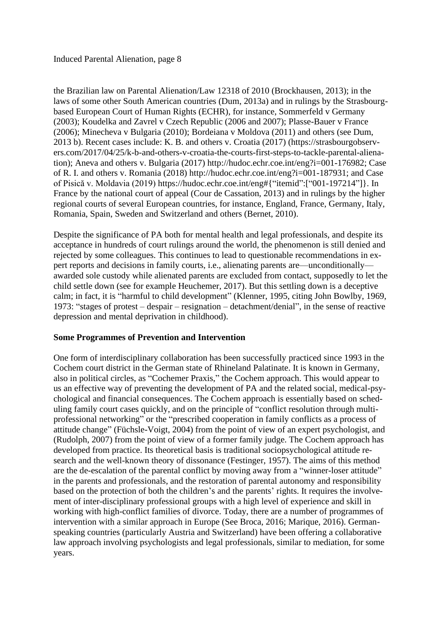the Brazilian law on Parental Alienation/Law 12318 of 2010 (Brockhausen, 2013); in the laws of some other South American countries (Dum, 2013a) and in rulings by the Strasbourgbased European Court of Human Rights (ECHR), for instance, Sommerfeld v Germany (2003); Koudelka and Zavrel v Czech Republic (2006 and 2007); Plasse-Bauer v France (2006); Minecheva v Bulgaria (2010); Bordeiana v Moldova (2011) and others (see Dum, 2013 b). Recent cases include: K. B. and others v. Croatia (2017) (https://strasbourgobservers.com/2017/04/25/k-b-and-others-v-croatia-the-courts-first-steps-to-tackle-parental-alienation); Aneva and others v. Bulgaria (2017) http://hudoc.echr.coe.int/eng?i=001-176982; Case of R. I. and others v. Romania (2018) http://hudoc.echr.coe.int/eng?i=001-187931; and Case of Pisică v. Moldavia (2019) https://hudoc.echr.coe.int/eng#{"itemid":["001-197214"]}. In France by the national court of appeal (Cour de Cassation, 2013) and in rulings by the higher regional courts of several European countries, for instance, England, France, Germany, Italy, Romania, Spain, Sweden and Switzerland and others (Bernet, 2010).

Despite the significance of PA both for mental health and legal professionals, and despite its acceptance in hundreds of court rulings around the world, the phenomenon is still denied and rejected by some colleagues. This continues to lead to questionable recommendations in expert reports and decisions in family courts, i.e., alienating parents are—unconditionally awarded sole custody while alienated parents are excluded from contact, supposedly to let the child settle down (see for example Heuchemer, 2017). But this settling down is a deceptive calm; in fact, it is "harmful to child development" (Klenner, 1995, citing John Bowlby, 1969, 1973: "stages of protest – despair – resignation – detachment/denial", in the sense of reactive depression and mental deprivation in childhood).

### **Some Programmes of Prevention and Intervention**

One form of interdisciplinary collaboration has been successfully practiced since 1993 in the Cochem court district in the German state of Rhineland Palatinate. It is known in Germany, also in political circles, as "Cochemer Praxis," the Cochem approach. This would appear to us an effective way of preventing the development of PA and the related social, medical-psychological and financial consequences. The Cochem approach is essentially based on scheduling family court cases quickly, and on the principle of "conflict resolution through multiprofessional networking" or the "prescribed cooperation in family conflicts as a process of attitude change" (Füchsle-Voigt, 2004) from the point of view of an expert psychologist, and (Rudolph, 2007) from the point of view of a former family judge. The Cochem approach has developed from practice. Its theoretical basis is traditional sociopsychological attitude research and the well-known theory of dissonance (Festinger, 1957). The aims of this method are the de-escalation of the parental conflict by moving away from a "winner-loser attitude" in the parents and professionals, and the restoration of parental autonomy and responsibility based on the protection of both the children's and the parents' rights. It requires the involvement of inter-disciplinary professional groups with a high level of experience and skill in working with high-conflict families of divorce. Today, there are a number of programmes of intervention with a similar approach in Europe (See Broca, 2016; Marique, 2016). Germanspeaking countries (particularly Austria and Switzerland) have been offering a collaborative law approach involving psychologists and legal professionals, similar to mediation, for some years.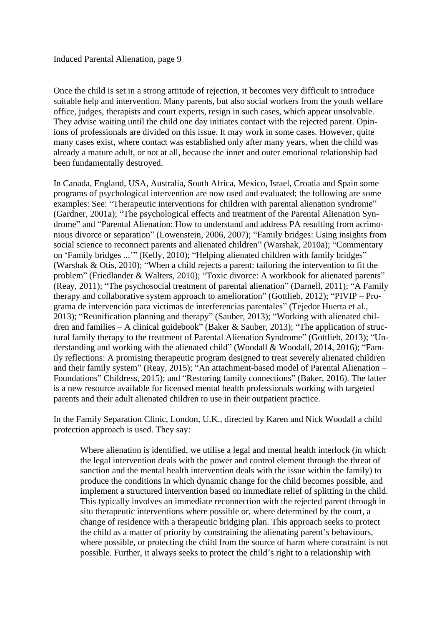Once the child is set in a strong attitude of rejection, it becomes very difficult to introduce suitable help and intervention. Many parents, but also social workers from the youth welfare office, judges, therapists and court experts, resign in such cases, which appear unsolvable. They advise waiting until the child one day initiates contact with the rejected parent. Opinions of professionals are divided on this issue. It may work in some cases. However, quite many cases exist, where contact was established only after many years, when the child was already a mature adult, or not at all, because the inner and outer emotional relationship had been fundamentally destroyed.

In Canada, England, USA, Australia, South Africa, Mexico, Israel, Croatia and Spain some programs of psychological intervention are now used and evaluated; the following are some examples: See: "Therapeutic interventions for children with parental alienation syndrome" (Gardner, 2001a); "The psychological effects and treatment of the Parental Alienation Syndrome" and "Parental Alienation: How to understand and address PA resulting from acrimonious divorce or separation" (Lowenstein, 2006, 2007); "Family bridges: Using insights from social science to reconnect parents and alienated children" (Warshak, 2010a); "Commentary on 'Family bridges ...'" (Kelly, 2010); "Helping alienated children with family bridges" (Warshak & Otis, 2010); "When a child rejects a parent: tailoring the intervention to fit the problem" (Friedlander & Walters, 2010); "Toxic divorce: A workbook for alienated parents" (Reay, 2011); "The psychosocial treatment of parental alienation" (Darnell, 2011); "A Family therapy and collaborative system approach to amelioration" (Gottlieb, 2012); "PIVIP – Programa de intervención para victimas de interferencias parentales" (Tejedor Huerta et al., 2013); "Reunification planning and therapy" (Sauber, 2013); "Working with alienated children and families – A clinical guidebook" (Baker & Sauber, 2013); "The application of structural family therapy to the treatment of Parental Alienation Syndrome" (Gottlieb, 2013); "Understanding and working with the alienated child" (Woodall & Woodall, 2014, 2016); "Family reflections: A promising therapeutic program designed to treat severely alienated children and their family system" (Reay, 2015); "An attachment-based model of Parental Alienation – Foundations" Childress, 2015); and "Restoring family connections" (Baker, 2016). The latter is a new resource available for licensed mental health professionals working with targeted parents and their adult alienated children to use in their outpatient practice.

In the Family Separation Clinic, London, U.K., directed by Karen and Nick Woodall a child protection approach is used. They say:

Where alienation is identified, we utilise a legal and mental health interlock (in which the legal intervention deals with the power and control element through the threat of sanction and the mental health intervention deals with the issue within the family) to produce the conditions in which dynamic change for the child becomes possible, and implement a structured intervention based on immediate relief of splitting in the child. This typically involves an immediate reconnection with the rejected parent through in situ therapeutic interventions where possible or, where determined by the court, a change of residence with a therapeutic bridging plan. This approach seeks to protect the child as a matter of priority by constraining the alienating parent's behaviours, where possible, or protecting the child from the source of harm where constraint is not possible. Further, it always seeks to protect the child's right to a relationship with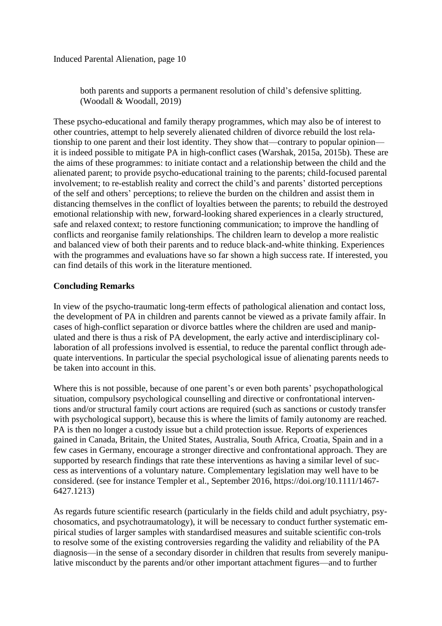both parents and supports a permanent resolution of child's defensive splitting. (Woodall & Woodall, 2019)

These psycho-educational and family therapy programmes, which may also be of interest to other countries, attempt to help severely alienated children of divorce rebuild the lost relationship to one parent and their lost identity. They show that—contrary to popular opinion it is indeed possible to mitigate PA in high-conflict cases (Warshak, 2015a, 2015b). These are the aims of these programmes: to initiate contact and a relationship between the child and the alienated parent; to provide psycho-educational training to the parents; child-focused parental involvement; to re-establish reality and correct the child's and parents' distorted perceptions of the self and others' perceptions; to relieve the burden on the children and assist them in distancing themselves in the conflict of loyalties between the parents; to rebuild the destroyed emotional relationship with new, forward-looking shared experiences in a clearly structured, safe and relaxed context; to restore functioning communication; to improve the handling of conflicts and reorganise family relationships. The children learn to develop a more realistic and balanced view of both their parents and to reduce black-and-white thinking. Experiences with the programmes and evaluations have so far shown a high success rate. If interested, you can find details of this work in the literature mentioned.

### **Concluding Remarks**

In view of the psycho-traumatic long-term effects of pathological alienation and contact loss, the development of PA in children and parents cannot be viewed as a private family affair. In cases of high-conflict separation or divorce battles where the children are used and manipulated and there is thus a risk of PA development, the early active and interdisciplinary collaboration of all professions involved is essential, to reduce the parental conflict through adequate interventions. In particular the special psychological issue of alienating parents needs to be taken into account in this.

Where this is not possible, because of one parent's or even both parents' psychopathological situation, compulsory psychological counselling and directive or confrontational interventions and/or structural family court actions are required (such as sanctions or custody transfer with psychological support), because this is where the limits of family autonomy are reached. PA is then no longer a custody issue but a child protection issue. Reports of experiences gained in Canada, Britain, the United States, Australia, South Africa, Croatia, Spain and in a few cases in Germany, encourage a stronger directive and confrontational approach. They are supported by research findings that rate these interventions as having a similar level of success as interventions of a voluntary nature. Complementary legislation may well have to be considered. (see for instance Templer et al., September 2016, https://doi.org/10.1111/1467- 6427.1213)

As regards future scientific research (particularly in the fields child and adult psychiatry, psychosomatics, and psychotraumatology), it will be necessary to conduct further systematic empirical studies of larger samples with standardised measures and suitable scientific con-trols to resolve some of the existing controversies regarding the validity and reliability of the PA diagnosis—in the sense of a secondary disorder in children that results from severely manipulative misconduct by the parents and/or other important attachment figures—and to further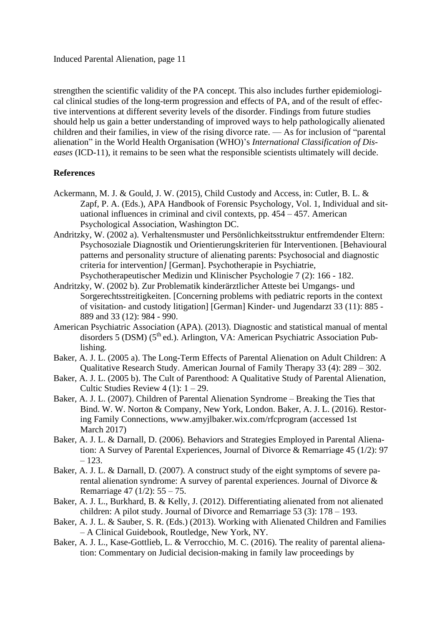strengthen the scientific validity of the PA concept. This also includes further epidemiological clinical studies of the long-term progression and effects of PA, and of the result of effective interventions at different severity levels of the disorder. Findings from future studies should help us gain a better understanding of improved ways to help pathologically alienated children and their families, in view of the rising divorce rate. — As for inclusion of "parental alienation" in the World Health Organisation (WHO)'s *International Classification of Diseases* (ICD-11), it remains to be seen what the responsible scientists ultimately will decide.

#### **References**

- Ackermann, M. J. & Gould, J. W. (2015), Child Custody and Access, in: Cutler, B. L. & Zapf, P. A. (Eds.), APA Handbook of Forensic Psychology, Vol. 1, Individual and situational influences in criminal and civil contexts, pp.  $454 - 457$ . American Psychological Association, Washington DC.
- Andritzky, W. (2002 a). Verhaltensmuster und Persönlichkeitsstruktur entfremdender Eltern: Psychosoziale Diagnostik und Orientierungskriterien für Interventionen. [Behavioural patterns and personality structure of alienating parents: Psychosocial and diagnostic criteria for intervention*]* [German]. Psychotherapie in Psychiatrie, Psychotherapeutischer Medizin und Klinischer Psychologie 7 (2): 166 - 182.
- Andritzky, W. (2002 b). Zur Problematik kinderärztlicher Atteste bei Umgangs- und Sorgerechtsstreitigkeiten. [Concerning problems with pediatric reports in the context of visitation- and custody litigation] [German] Kinder- und Jugendarzt 33 (11): 885 - 889 and 33 (12): 984 - 990.
- American Psychiatric Association (APA). (2013). Diagnostic and statistical manual of mental disorders 5 (DSM) (5<sup>th</sup> ed.). Arlington, VA: American Psychiatric Association Publishing.
- Baker, A. J. L. (2005 a). The Long-Term Effects of Parental Alienation on Adult Children: A Qualitative Research Study. American Journal of Family Therapy 33 (4): 289 – 302.
- Baker, A. J. L. (2005 b). The Cult of Parenthood: A Qualitative Study of Parental Alienation, Cultic Studies Review  $4(1)$ :  $1-29$ .
- Baker, A. J. L. (2007). Children of Parental Alienation Syndrome Breaking the Ties that Bind. W. W. Norton & Company, New York, London. Baker, A. J. L. (2016). Restoring Family Connections, www.amyjlbaker.wix.com/rfcprogram (accessed 1st March 2017)
- Baker, A. J. L. & Darnall, D. (2006). Behaviors and Strategies Employed in Parental Alienation: A Survey of Parental Experiences, Journal of Divorce & Remarriage 45 (1/2): 97 – 123.
- Baker, A. J. L. & Darnall, D. (2007). A construct study of the eight symptoms of severe parental alienation syndrome: A survey of parental experiences. Journal of Divorce & Remarriage 47 (1/2): 55 – 75.
- Baker, A. J. L., Burkhard, B. & Kelly, J. (2012). Differentiating alienated from not alienated children: A pilot study. Journal of Divorce and Remarriage 53 (3): 178 – 193.
- Baker, A. J. L. & Sauber, S. R. (Eds.) (2013). Working with Alienated Children and Families – A Clinical Guidebook, Routledge, New York, NY.
- Baker, A. J. L., Kase-Gottlieb, L. & Verrocchio, M. C. (2016). The reality of parental alienation: Commentary on Judicial decision-making in family law proceedings by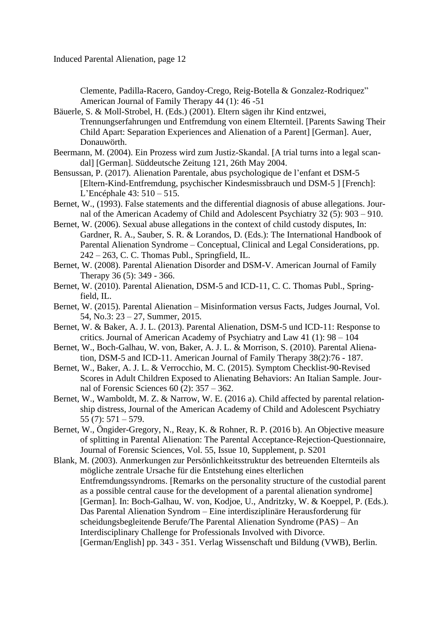Clemente, Padilla-Racero, Gandoy-Crego, Reig-Botella & Gonzalez-Rodriquez" American Journal of Family Therapy 44 (1): 46 -51

Bäuerle, S. & Moll-Strobel, H. (Eds.) (2001). Eltern sägen ihr Kind entzwei, Trennungserfahrungen und Entfremdung von einem Elternteil. [Parents Sawing Their Child Apart: Separation Experiences and Alienation of a Parent] [German]. Auer, Donauwörth.

- Beermann, M. (2004). Ein Prozess wird zum Justiz-Skandal. [A trial turns into a legal scandal] [German]. Süddeutsche Zeitung 121, 26th May 2004.
- Bensussan, P. (2017). Alienation Parentale, abus psychologique de l'enfant et DSM-5 [Eltern-Kind-Entfremdung, psychischer Kindesmissbrauch und DSM-5 ] [French]: L'Encéphale 43: 510 – 515.
- Bernet, W., (1993). False statements and the differential diagnosis of abuse allegations. Journal of the American Academy of Child and Adolescent Psychiatry 32 (5): 903 – 910.
- Bernet, W. (2006). Sexual abuse allegations in the context of child custody disputes, In: Gardner, R. A., Sauber, S. R. & Lorandos, D. (Eds.): The International Handbook of Parental Alienation Syndrome – Conceptual, Clinical and Legal Considerations, pp. 242 – 263, C. C. Thomas Publ., Springfield, IL.
- Bernet, W. (2008). Parental Alienation Disorder and DSM-V. American Journal of Family Therapy 36 (5): 349 - 366.
- Bernet, W. (2010). Parental Alienation, DSM-5 and ICD-11, C. C. Thomas Publ., Springfield, IL.
- Bernet, W. (2015). Parental Alienation Misinformation versus Facts, Judges Journal, Vol. 54, No.3: 23 – 27, Summer, 2015.
- Bernet, W. & Baker, A. J. L. (2013). Parental Alienation, DSM-5 und ICD-11: Response to critics. Journal of American Academy of Psychiatry and Law 41 (1): 98 – 104
- Bernet, W., Boch-Galhau, W. von, Baker, A. J. L. & Morrison, S. (2010). Parental Alienation, DSM-5 and ICD-11. American Journal of Family Therapy 38(2):76 - 187.
- Bernet, W., Baker, A. J. L. & Verrocchio, M. C. (2015). Symptom Checklist-90-Revised Scores in Adult Children Exposed to Alienating Behaviors: An Italian Sample. Journal of Forensic Sciences 60 (2): 357 – 362.
- Bernet, W., Wamboldt, M. Z. & Narrow, W. E. (2016 a). Child affected by parental relationship distress, Journal of the American Academy of Child and Adolescent Psychiatry 55 (7): 571 – 579.
- Bernet, W., Öngider-Gregory, N., Reay, K. & Rohner, R. P. (2016 b). An Objective measure of splitting in Parental Alienation: The Parental Acceptance-Rejection-Questionnaire, Journal of Forensic Sciences, Vol. 55, Issue 10, Supplement, p. S201
- Blank, M. (2003). Anmerkungen zur Persönlichkeitsstruktur des betreuenden Elternteils als mögliche zentrale Ursache für die Entstehung eines elterlichen Entfremdungssyndroms. [Remarks on the personality structure of the custodial parent as a possible central cause for the development of a parental alienation syndrome] [German]. In: Boch-Galhau, W. von, Kodjoe, U., Andritzky, W. & Koeppel, P. (Eds.). Das Parental Alienation Syndrom – Eine interdisziplinäre Herausforderung für scheidungsbegleitende Berufe/The Parental Alienation Syndrome (PAS) – An Interdisciplinary Challenge for Professionals Involved with Divorce. [German/English] pp. 343 - 351. Verlag Wissenschaft und Bildung (VWB), Berlin.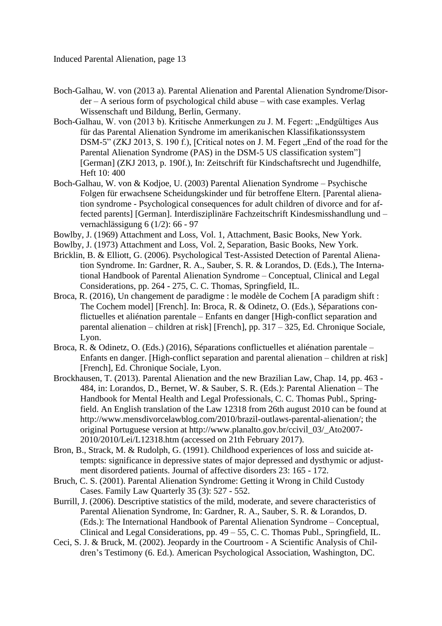- Boch-Galhau, W. von (2013 a). Parental Alienation and Parental Alienation Syndrome/Disorder – A serious form of psychological child abuse – with case examples. Verlag Wissenschaft und Bildung, Berlin, Germany.
- Boch-Galhau, W. von (2013 b). Kritische Anmerkungen zu J. M. Fegert: "Endgültiges Aus für das Parental Alienation Syndrome im amerikanischen Klassifikationssystem DSM-5" (ZKJ 2013, S. 190 f.), [Critical notes on J. M. Fegert "End of the road for the Parental Alienation Syndrome (PAS) in the DSM-5 US classification system"] [German] (ZKJ 2013, p. 190f.), In: Zeitschrift für Kindschaftsrecht und Jugendhilfe, Heft 10: 400
- Boch-Galhau, W. von & Kodjoe, U. (2003) Parental Alienation Syndrome Psychische Folgen für erwachsene Scheidungskinder und für betroffene Eltern. [Parental alienation syndrome - Psychological consequences for adult children of divorce and for affected parents] [German]. Interdisziplinäre Fachzeitschrift Kindesmisshandlung und – vernachlässigung 6 (1/2): 66 - 97
- Bowlby, J. (1969) Attachment and Loss, Vol. 1, Attachment, Basic Books, New York.
- Bowlby, J. (1973) Attachment and Loss, Vol. 2, Separation, Basic Books, New York.
- Bricklin, B. & Elliott, G. (2006). Psychological Test-Assisted Detection of Parental Alienation Syndrome. In: Gardner, R. A., Sauber, S. R. & Lorandos, D. (Eds.), The International Handbook of Parental Alienation Syndrome – Conceptual, Clinical and Legal Considerations, pp. 264 - 275, C. C. Thomas, Springfield, IL.
- Broca, R. (2016), Un changement de paradigme : le modèle de Cochem [A paradigm shift : The Cochem model] [French]. In: Broca, R. & Odinetz, O. (Eds.), Séparations conflictuelles et aliénation parentale – Enfants en danger [High-conflict separation and parental alienation – children at risk] [French], pp. 317 – 325, Ed. Chronique Sociale, Lyon.
- Broca, R. & Odinetz, O. (Eds.) (2016), Séparations conflictuelles et aliénation parentale Enfants en danger. [High-conflict separation and parental alienation – children at risk] [French], Ed. Chronique Sociale, Lyon.
- Brockhausen, T. (2013). Parental Alienation and the new Brazilian Law, Chap. 14, pp. 463 484, in: Lorandos, D., Bernet, W. & Sauber, S. R. (Eds.): Parental Alienation – The Handbook for Mental Health and Legal Professionals, C. C. Thomas Publ., Springfield. An English translation of the Law 12318 from 26th august 2010 can be found at http://www.mensdivorcelawblog.com/2010/brazil-outlaws-parental-alienation/; the original Portuguese version at http://www.planalto.gov.br/ccivil\_03/\_Ato2007- 2010/2010/Lei/L12318.htm (accessed on 21th February 2017).
- Bron, B., Strack, M. & Rudolph, G. (1991). Childhood experiences of loss and suicide attempts: significance in depressive states of major depressed and dysthymic or adjustment disordered patients. Journal of affective disorders 23: 165 - 172.
- Bruch, C. S. (2001). Parental Alienation Syndrome: Getting it Wrong in Child Custody Cases. Family Law Quarterly 35 (3): 527 - 552.
- Burrill, J. (2006). Descriptive statistics of the mild, moderate, and severe characteristics of Parental Alienation Syndrome, In: Gardner, R. A., Sauber, S. R. & Lorandos, D. (Eds.): The International Handbook of Parental Alienation Syndrome – Conceptual, Clinical and Legal Considerations, pp. 49 – 55, C. C. Thomas Publ., Springfield, IL.
- Ceci, S. J. & Bruck, M. (2002). Jeopardy in the Courtroom A Scientific Analysis of Children's Testimony (6. Ed.). American Psychological Association, Washington, DC.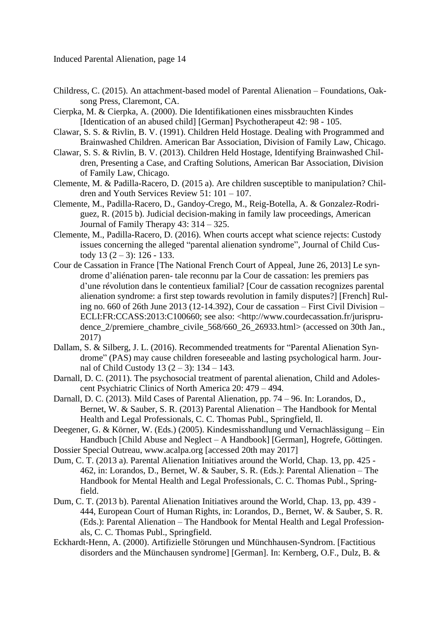- Childress, C. (2015). An attachment-based model of Parental Alienation Foundations, Oaksong Press, Claremont, CA.
- Cierpka, M. & Cierpka, A. (2000). Die Identifikationen eines missbrauchten Kindes [Identication of an abused child] [German] Psychotherapeut 42: 98 - 105.
- Clawar, S. S. & Rivlin, B. V. (1991). Children Held Hostage. Dealing with Programmed and Brainwashed Children. American Bar Association, Division of Family Law, Chicago.
- Clawar, S. S. & Rivlin, B. V. (2013). Children Held Hostage, Identifying Brainwashed Children, Presenting a Case, and Crafting Solutions, American Bar Association, Division of Family Law, Chicago.
- Clemente, M. & Padilla-Racero, D. (2015 a). Are children susceptible to manipulation? Children and Youth Services Review 51: 101 – 107.
- Clemente, M., Padilla-Racero, D., Gandoy-Crego, M., Reig-Botella, A. & Gonzalez-Rodriguez, R. (2015 b). Judicial decision-making in family law proceedings, American Journal of Family Therapy 43: 314 – 325.
- Clemente, M., Padilla-Racero, D. (2016). When courts accept what science rejects: Custody issues concerning the alleged "parental alienation syndrome", Journal of Child Custody 13  $(2-3)$ : 126 - 133.
- Cour de Cassation in France [The National French Court of Appeal, June 26, 2013] Le syndrome d'aliénation paren- tale reconnu par la Cour de cassation: les premiers pas d'une révolution dans le contentieux familial? [Cour de cassation recognizes parental alienation syndrome: a first step towards revolution in family disputes?] [French] Ruling no. 660 of 26th June 2013 (12-14.392), Cour de cassation – First Civil Division – ECLI:FR:CCASS:2013:C100660; see also: <http://www.courdecassation.fr/jurisprudence 2/premiere chambre civile 568/660 26 26933.html> (accessed on 30th Jan., 2017)
- Dallam, S. & Silberg, J. L. (2016). Recommended treatments for "Parental Alienation Syndrome" (PAS) may cause children foreseeable and lasting psychological harm. Journal of Child Custody 13  $(2 – 3)$ : 134 – 143.
- Darnall, D. C. (2011). The psychosocial treatment of parental alienation, Child and Adolescent Psychiatric Clinics of North America 20: 479 – 494.
- Darnall, D. C. (2013). Mild Cases of Parental Alienation, pp. 74 96. In: Lorandos, D., Bernet, W. & Sauber, S. R. (2013) Parental Alienation – The Handbook for Mental Health and Legal Professionals, C. C. Thomas Publ., Springfield, Il.
- Deegener, G. & Körner, W. (Eds.) (2005). Kindesmisshandlung und Vernachlässigung Ein Handbuch [Child Abuse and Neglect – A Handbook] [German], Hogrefe, Göttingen.
- Dossier Special Outreau, www.acalpa.org [accessed 20th may 2017]
- Dum, C. T. (2013 a). Parental Alienation Initiatives around the World, Chap. 13, pp. 425 462, in: Lorandos, D., Bernet, W. & Sauber, S. R. (Eds.): Parental Alienation – The Handbook for Mental Health and Legal Professionals, C. C. Thomas Publ., Springfield.
- Dum, C. T. (2013 b). Parental Alienation Initiatives around the World, Chap. 13, pp. 439 444, European Court of Human Rights, in: Lorandos, D., Bernet, W. & Sauber, S. R. (Eds.): Parental Alienation – The Handbook for Mental Health and Legal Professionals, C. C. Thomas Publ., Springfield.
- Eckhardt-Henn, A. (2000). Artifizielle Störungen und Münchhausen-Syndrom. [Factitious disorders and the Münchausen syndrome] [German]. In: Kernberg, O.F., Dulz, B. &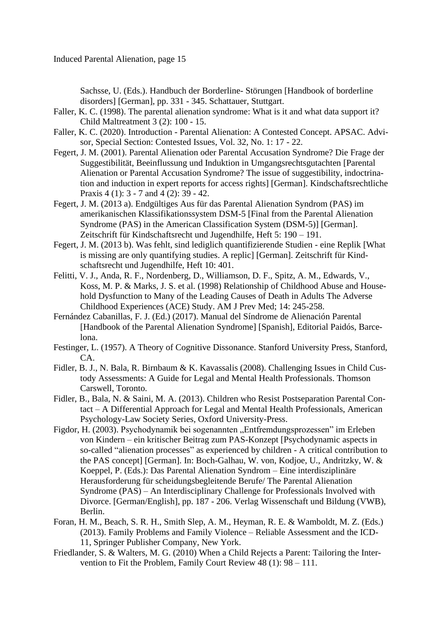Sachsse, U. (Eds.). Handbuch der Borderline- Störungen [Handbook of borderline disorders] [German], pp. 331 - 345. Schattauer, Stuttgart.

- Faller, K. C. (1998). The parental alienation syndrome: What is it and what data support it? Child Maltreatment 3 (2): 100 - 15.
- Faller, K. C. (2020). Introduction Parental Alienation: A Contested Concept. APSAC. Advisor, Special Section: Contested Issues, Vol. 32, No. 1: 17 - 22.
- Fegert, J. M. (2001). Parental Alienation oder Parental Accusation Syndrome? Die Frage der Suggestibilität, Beeinflussung und Induktion in Umgangsrechtsgutachten [Parental Alienation or Parental Accusation Syndrome? The issue of suggestibility, indoctrination and induction in expert reports for access rights] [German]. Kindschaftsrechtliche Praxis 4 (1): 3 - 7 and 4 (2): 39 - 42.
- Fegert, J. M. (2013 a). Endgültiges Aus für das Parental Alienation Syndrom (PAS) im amerikanischen Klassifikationssystem DSM-5 [Final from the Parental Alienation Syndrome (PAS) in the American Classification System (DSM-5)] [German]. Zeitschrift für Kindschaftsrecht und Jugendhilfe, Heft 5: 190 – 191.
- Fegert, J. M. (2013 b). Was fehlt, sind lediglich quantifizierende Studien eine Replik [What is missing are only quantifying studies. A replic] [German]. Zeitschrift für Kindschaftsrecht und Jugendhilfe, Heft 10: 401.
- Felitti, V. J., Anda, R. F., Nordenberg, D., Williamson, D. F., Spitz, A. M., Edwards, V., Koss, M. P. & Marks, J. S. et al. (1998) Relationship of Childhood Abuse and Household Dysfunction to Many of the Leading Causes of Death in Adults The Adverse Childhood Experiences (ACE) Study. AM J Prev Med; 14: 245-258.
- Fernández Cabanillas, F. J. (Ed.) (2017). Manual del Síndrome de Alienación Parental [Handbook of the Parental Alienation Syndrome] [Spanish], Editorial Paidós, Barcelona.
- Festinger, L. (1957). A Theory of Cognitive Dissonance. Stanford University Press, Stanford, CA.
- Fidler, B. J., N. Bala, R. Birnbaum & K. Kavassalis (2008). Challenging Issues in Child Custody Assessments: A Guide for Legal and Mental Health Professionals. Thomson Carswell, Toronto.
- Fidler, B., Bala, N. & Saini, M. A. (2013). Children who Resist Postseparation Parental Contact – A Differential Approach for Legal and Mental Health Professionals, American Psychology-Law Society Series, Oxford University-Press.
- Figdor, H. (2003). Psychodynamik bei sogenannten "Entfremdungsprozessen" im Erleben von Kindern – ein kritischer Beitrag zum PAS-Konzept [Psychodynamic aspects in so-called "alienation processes" as experienced by children - A critical contribution to the PAS concept] [German]. In: Boch-Galhau, W. von, Kodjoe, U., Andritzky, W. & Koeppel, P. (Eds.): Das Parental Alienation Syndrom – Eine interdisziplinäre Herausforderung für scheidungsbegleitende Berufe/ The Parental Alienation Syndrome (PAS) – An Interdisciplinary Challenge for Professionals Involved with Divorce. [German/English], pp. 187 - 206. Verlag Wissenschaft und Bildung (VWB), Berlin.
- Foran, H. M., Beach, S. R. H., Smith Slep, A. M., Heyman, R. E. & Wamboldt, M. Z. (Eds.) (2013). Family Problems and Family Violence – Reliable Assessment and the ICD-11, Springer Publisher Company, New York.
- Friedlander, S. & Walters, M. G. (2010) When a Child Rejects a Parent: Tailoring the Intervention to Fit the Problem, Family Court Review 48 (1): 98 – 111.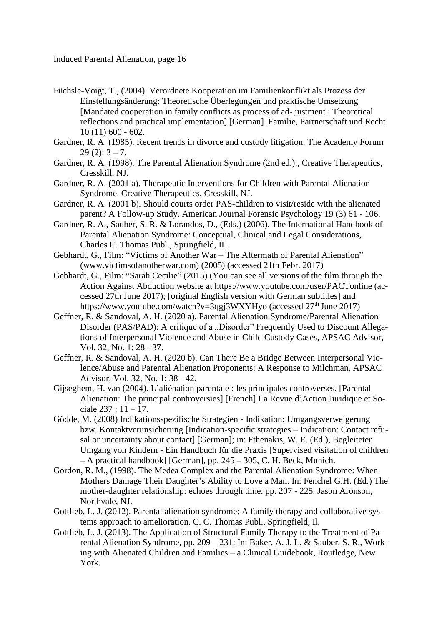- Füchsle-Voigt, T., (2004). Verordnete Kooperation im Familienkonflikt als Prozess der Einstellungsänderung: Theoretische Überlegungen und praktische Umsetzung [Mandated cooperation in family conflicts as process of ad- justment : Theoretical reflections and practical implementation] [German]. Familie, Partnerschaft und Recht 10 (11) 600 - 602.
- Gardner, R. A. (1985). Recent trends in divorce and custody litigation. The Academy Forum  $29(2): 3 - 7.$
- Gardner, R. A. (1998). The Parental Alienation Syndrome (2nd ed.)., Creative Therapeutics, Cresskill, NJ.
- Gardner, R. A. (2001 a). Therapeutic Interventions for Children with Parental Alienation Syndrome. Creative Therapeutics, Cresskill, NJ.
- Gardner, R. A. (2001 b). Should courts order PAS-children to visit/reside with the alienated parent? A Follow-up Study. American Journal Forensic Psychology 19 (3) 61 - 106.
- Gardner, R. A., Sauber, S. R. & Lorandos, D., (Eds.) (2006). The International Handbook of Parental Alienation Syndrome: Conceptual, Clinical and Legal Considerations, Charles C. Thomas Publ., Springfield, IL.
- Gebhardt, G., Film: "Victims of Another War The Aftermath of Parental Alienation" (www.victimsofanotherwar.com) (2005) (accessed 21th Febr. 2017)
- Gebhardt, G., Film: "Sarah Cecilie" (2015) (You can see all versions of the film through the Action Against Abduction website at https://www.youtube.com/user/PACTonline (accessed 27th June 2017); [original English version with German subtitles] and https://www.youtube.com/watch?v=3qgj3WXYHyo (accessed  $27<sup>th</sup>$  June 2017)
- Geffner, R. & Sandoval, A. H. (2020 a). Parental Alienation Syndrome/Parental Alienation Disorder (PAS/PAD): A critique of a "Disorder" Frequently Used to Discount Allegations of Interpersonal Violence and Abuse in Child Custody Cases, APSAC Advisor, Vol. 32, No. 1: 28 - 37.
- Geffner, R. & Sandoval, A. H. (2020 b). Can There Be a Bridge Between Interpersonal Violence/Abuse and Parental Alienation Proponents: A Response to Milchman, APSAC Advisor, Vol. 32, No. 1: 38 - 42.
- Gijseghem, H. van (2004). L'aliénation parentale : les principales controverses. [Parental Alienation: The principal controversies] [French] La Revue d'Action Juridique et Sociale  $237 : 11 - 17$ .
- Gödde, M. (2008) Indikationsspezifische Strategien Indikation: Umgangsverweigerung bzw. Kontaktverunsicherung [Indication-specific strategies – Indication: Contact refusal or uncertainty about contact] [German]; in: Fthenakis, W. E. (Ed.), Begleiteter Umgang von Kindern - Ein Handbuch für die Praxis [Supervised visitation of children – A practical handbook] [German], pp. 245 – 305, C. H. Beck, Munich.
- Gordon, R. M., (1998). The Medea Complex and the Parental Alienation Syndrome: When Mothers Damage Their Daughter's Ability to Love a Man. In: Fenchel G.H. (Ed.) The mother-daughter relationship: echoes through time. pp. 207 - 225. Jason Aronson, Northvale, NJ.
- Gottlieb, L. J. (2012). Parental alienation syndrome: A family therapy and collaborative systems approach to amelioration. C. C. Thomas Publ., Springfield, Il.
- Gottlieb, L. J. (2013). The Application of Structural Family Therapy to the Treatment of Parental Alienation Syndrome, pp. 209 – 231; In: Baker, A. J. L. & Sauber, S. R., Working with Alienated Children and Families – a Clinical Guidebook, Routledge, New York.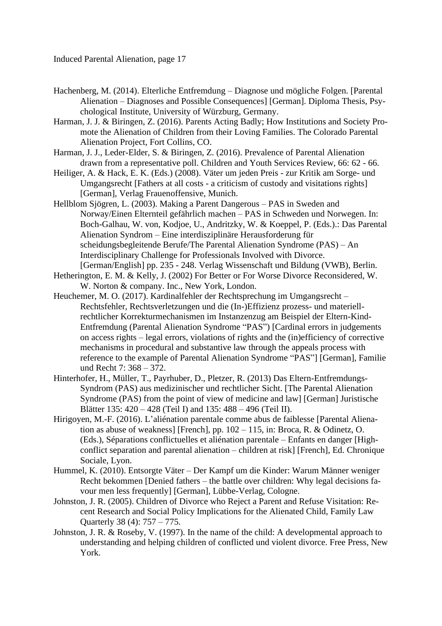- Hachenberg, M. (2014). Elterliche Entfremdung Diagnose und mögliche Folgen. [Parental Alienation – Diagnoses and Possible Consequences] [German]. Diploma Thesis, Psychological Institute, University of Würzburg, Germany.
- Harman, J. J. & Biringen, Z. (2016). Parents Acting Badly; How Institutions and Society Promote the Alienation of Children from their Loving Families. The Colorado Parental Alienation Project, Fort Collins, CO.
- Harman, J. J., Leder-Elder, S. & Biringen, Z. (2016). Prevalence of Parental Alienation drawn from a representative poll. Children and Youth Services Review, 66: 62 - 66.
- Heiliger, A. & Hack, E. K. (Eds.) (2008). Väter um jeden Preis zur Kritik am Sorge- und Umgangsrecht [Fathers at all costs - a criticism of custody and visitations rights] [German], Verlag Frauenoffensive, Munich.
- Hellblom Sjögren, L. (2003). Making a Parent Dangerous PAS in Sweden and Norway/Einen Elternteil gefährlich machen – PAS in Schweden und Norwegen. In: Boch-Galhau, W. von, Kodjoe, U., Andritzky, W. & Koeppel, P. (Eds.).: Das Parental Alienation Syndrom – Eine interdisziplinäre Herausforderung für scheidungsbegleitende Berufe/The Parental Alienation Syndrome (PAS) – An Interdisciplinary Challenge for Professionals Involved with Divorce. [German/English] pp. 235 - 248. Verlag Wissenschaft und Bildung (VWB), Berlin.
- Hetherington, E. M. & Kelly, J. (2002) For Better or For Worse Divorce Reconsidered, W. W. Norton & company. Inc., New York, London.
- Heuchemer, M. O. (2017). Kardinalfehler der Rechtsprechung im Umgangsrecht Rechtsfehler, Rechtsverletzungen und die (In-)Effizienz prozess- und materiellrechtlicher Korrekturmechanismen im Instanzenzug am Beispiel der Eltern-Kind-Entfremdung (Parental Alienation Syndrome "PAS") [Cardinal errors in judgements on access rights – legal errors, violations of rights and the (in)efficiency of corrective mechanisms in procedural and substantive law through the appeals process with reference to the example of Parental Alienation Syndrome "PAS"] [German], Familie und Recht 7: 368 – 372.
- Hinterhofer, H., Müller, T., Payrhuber, D., Pletzer, R. (2013) Das Eltern-Entfremdungs-Syndrom (PAS) aus medizinischer und rechtlicher Sicht. [The Parental Alienation Syndrome (PAS) from the point of view of medicine and law] [German] Juristische Blätter 135: 420 – 428 (Teil I) and 135: 488 – 496 (Teil II).
- Hirigoyen, M.-F. (2016). L'aliénation parentale comme abus de faiblesse [Parental Alienation as abuse of weakness] [French], pp. 102 – 115, in: Broca, R. & Odinetz, O. (Eds.), Séparations conflictuelles et aliénation parentale – Enfants en danger [Highconflict separation and parental alienation – children at risk] [French], Ed. Chronique Sociale, Lyon.
- Hummel, K. (2010). Entsorgte Väter Der Kampf um die Kinder: Warum Männer weniger Recht bekommen [Denied fathers – the battle over children: Why legal decisions favour men less frequently] [German], Lübbe-Verlag, Cologne.
- Johnston, J. R. (2005). Children of Divorce who Reject a Parent and Refuse Visitation: Recent Research and Social Policy Implications for the Alienated Child, Family Law Quarterly 38 (4): 757 – 775.
- Johnston, J. R. & Roseby, V. (1997). In the name of the child: A developmental approach to understanding and helping children of conflicted und violent divorce. Free Press, New York.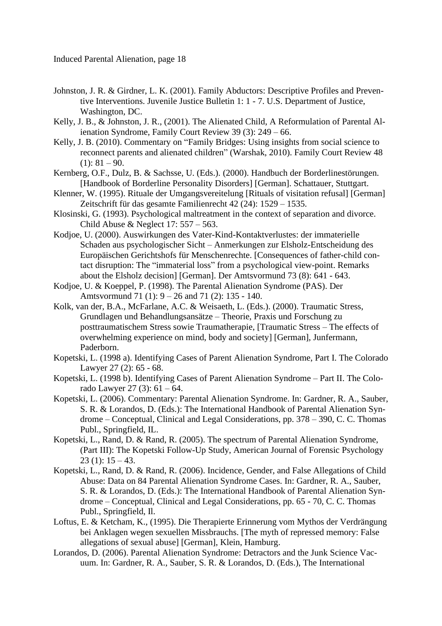- Johnston, J. R. & Girdner, L. K. (2001). Family Abductors: Descriptive Profiles and Preventive Interventions. Juvenile Justice Bulletin 1: 1 - 7. U.S. Department of Justice, Washington, DC.
- Kelly, J. B., & Johnston, J. R., (2001). The Alienated Child, A Reformulation of Parental Alienation Syndrome, Family Court Review 39 (3): 249 – 66.
- Kelly, J. B. (2010). Commentary on "Family Bridges: Using insights from social science to reconnect parents and alienated children" (Warshak, 2010). Family Court Review 48  $(1): 81 - 90.$
- Kernberg, O.F., Dulz, B. & Sachsse, U. (Eds.). (2000). Handbuch der Borderlinestörungen. [Handbook of Borderline Personality Disorders] [German]. Schattauer, Stuttgart.
- Klenner, W. (1995). Rituale der Umgangsvereitelung [Rituals of visitation refusal] [German] Zeitschrift für das gesamte Familienrecht 42 (24): 1529 – 1535.
- Klosinski, G. (1993). Psychological maltreatment in the context of separation and divorce. Child Abuse & Neglect 17: 557 – 563.
- Kodjoe, U. (2000). Auswirkungen des Vater-Kind-Kontaktverlustes: der immaterielle Schaden aus psychologischer Sicht – Anmerkungen zur Elsholz-Entscheidung des Europäischen Gerichtshofs für Menschenrechte. [Consequences of father-child contact disruption: The "immaterial loss" from a psychological view-point. Remarks about the Elsholz decision] [German]. Der Amtsvormund 73 (8): 641 - 643.
- Kodjoe, U. & Koeppel, P. (1998). The Parental Alienation Syndrome (PAS). Der Amtsvormund 71 (1): 9 – 26 and 71 (2): 135 - 140.
- Kolk, van der, B.A., McFarlane, A.C. & Weisaeth, L. (Eds.). (2000). Traumatic Stress, Grundlagen und Behandlungsansätze – Theorie, Praxis und Forschung zu posttraumatischem Stress sowie Traumatherapie, [Traumatic Stress – The effects of overwhelming experience on mind, body and society] [German], Junfermann, Paderborn.
- Kopetski, L. (1998 a). Identifying Cases of Parent Alienation Syndrome, Part I. The Colorado Lawyer 27 (2): 65 - 68.
- Kopetski, L. (1998 b). Identifying Cases of Parent Alienation Syndrome Part II. The Colorado Lawyer 27 (3):  $61 - 64$ .
- Kopetski, L. (2006). Commentary: Parental Alienation Syndrome. In: Gardner, R. A., Sauber, S. R. & Lorandos, D. (Eds.): The International Handbook of Parental Alienation Syndrome – Conceptual, Clinical and Legal Considerations, pp. 378 – 390, C. C. Thomas Publ., Springfield, IL.
- Kopetski, L., Rand, D. & Rand, R. (2005). The spectrum of Parental Alienation Syndrome, (Part III): The Kopetski Follow-Up Study, American Journal of Forensic Psychology  $23$  (1):  $15 - 43$ .
- Kopetski, L., Rand, D. & Rand, R. (2006). Incidence, Gender, and False Allegations of Child Abuse: Data on 84 Parental Alienation Syndrome Cases. In: Gardner, R. A., Sauber, S. R. & Lorandos, D. (Eds.): The International Handbook of Parental Alienation Syndrome – Conceptual, Clinical and Legal Considerations, pp. 65 - 70, C. C. Thomas Publ., Springfield, Il.
- Loftus, E. & Ketcham, K., (1995). Die Therapierte Erinnerung vom Mythos der Verdrängung bei Anklagen wegen sexuellen Missbrauchs. [The myth of repressed memory: False allegations of sexual abuse] [German], Klein, Hamburg.
- Lorandos, D. (2006). Parental Alienation Syndrome: Detractors and the Junk Science Vacuum. In: Gardner, R. A., Sauber, S. R. & Lorandos, D. (Eds.), The International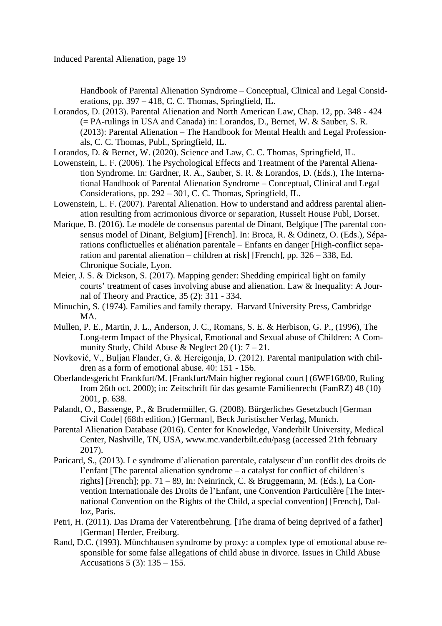Handbook of Parental Alienation Syndrome – Conceptual, Clinical and Legal Considerations, pp. 397 – 418, C. C. Thomas, Springfield, IL.

- Lorandos, D. (2013). Parental Alienation and North American Law, Chap. 12, pp. 348 424 (= PA-rulings in USA and Canada) in: Lorandos, D., Bernet, W. & Sauber, S. R. (2013): Parental Alienation – The Handbook for Mental Health and Legal Professionals, C. C. Thomas, Publ., Springfield, IL.
- Lorandos, D. & Bernet, W. (2020). Science and Law, C. C. Thomas, Springfield, IL.
- Lowenstein, L. F. (2006). The Psychological Effects and Treatment of the Parental Alienation Syndrome. In: Gardner, R. A., Sauber, S. R. & Lorandos, D. (Eds.), The International Handbook of Parental Alienation Syndrome – Conceptual, Clinical and Legal Considerations, pp. 292 – 301, C. C. Thomas, Springfield, IL.
- Lowenstein, L. F. (2007). Parental Alienation. How to understand and address parental alienation resulting from acrimonious divorce or separation, Russelt House Publ, Dorset.
- Marique, B. (2016). Le modèle de consensus parental de Dinant, Belgique [The parental consensus model of Dinant, Belgium] [French]. In: Broca, R. & Odinetz, O. (Eds.), Séparations conflictuelles et aliénation parentale – Enfants en danger [High-conflict separation and parental alienation – children at risk] [French], pp. 326 – 338, Ed. Chronique Sociale, Lyon.
- Meier, J. S. & Dickson, S. (2017). Mapping gender: Shedding empirical light on family courts' treatment of cases involving abuse and alienation. Law & Inequality: A Journal of Theory and Practice, 35 (2): 311 - 334.
- Minuchin, S. (1974). Families and family therapy. Harvard University Press, Cambridge MA.
- Mullen, P. E., Martin, J. L., Anderson, J. C., Romans, S. E. & Herbison, G. P., (1996), The Long-term Impact of the Physical, Emotional and Sexual abuse of Children: A Community Study, Child Abuse & Neglect 20 (1):  $7 - 21$ .
- Novković, V., Buljan Flander, G. & Hercigonja, D. (2012). Parental manipulation with children as a form of emotional abuse. 40: 151 - 156.
- Oberlandesgericht Frankfurt/M. [Frankfurt/Main higher regional court] (6WF168/00, Ruling from 26th oct. 2000); in: Zeitschrift für das gesamte Familienrecht (FamRZ) 48 (10) 2001, p. 638.
- Palandt, O., Bassenge, P., & Brudermüller, G. (2008). Bürgerliches Gesetzbuch [German Civil Code] (68th edition.) [German], Beck Juristischer Verlag, Munich.
- Parental Alienation Database (2016). Center for Knowledge, Vanderbilt University, Medical Center, Nashville, TN, USA, www.mc.vanderbilt.edu/pasg (accessed 21th february 2017).
- Paricard, S., (2013). Le syndrome d'alienation parentale, catalyseur d'un conflit des droits de l'enfant [The parental alienation syndrome – a catalyst for conflict of children's rights] [French]; pp. 71 – 89, In: Neinrinck, C. & Bruggemann, M. (Eds.), La Convention Internationale des Droits de l'Enfant, une Convention Particulière [The International Convention on the Rights of the Child, a special convention] [French], Dalloz, Paris.
- Petri, H. (2011). Das Drama der Vaterentbehrung. [The drama of being deprived of a father] [German] Herder, Freiburg.
- Rand, D.C. (1993). Münchhausen syndrome by proxy: a complex type of emotional abuse responsible for some false allegations of child abuse in divorce. Issues in Child Abuse Accusations 5 (3): 135 – 155.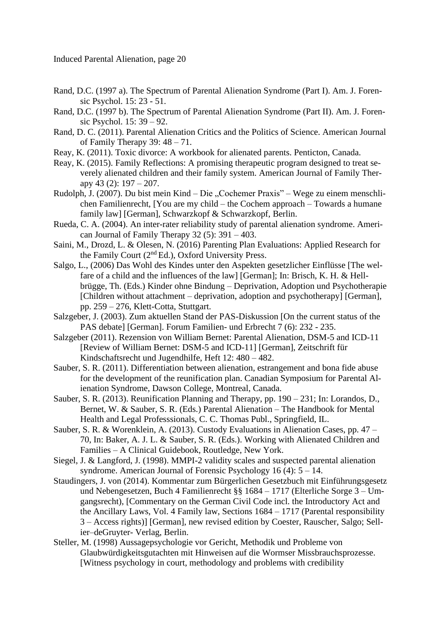- Rand, D.C. (1997 a). The Spectrum of Parental Alienation Syndrome (Part I). Am. J. Forensic Psychol. 15: 23 - 51.
- Rand, D.C. (1997 b). The Spectrum of Parental Alienation Syndrome (Part II). Am. J. Forensic Psychol. 15: 39 – 92.
- Rand, D. C. (2011). Parental Alienation Critics and the Politics of Science. American Journal of Family Therapy 39: 48 – 71.
- Reay, K. (2011). Toxic divorce: A workbook for alienated parents. Penticton, Canada.
- Reay, K. (2015). Family Reflections: A promising therapeutic program designed to treat severely alienated children and their family system. American Journal of Family Therapy 43 (2): 197 – 207.
- Rudolph, J. (2007). Du bist mein Kind Die "Cochemer Praxis" Wege zu einem menschlichen Familienrecht, [You are my child – the Cochem approach – Towards a humane family law] [German], Schwarzkopf & Schwarzkopf, Berlin.
- Rueda, C. A. (2004). An inter-rater reliability study of parental alienation syndrome. American Journal of Family Therapy  $32$  (5):  $391 - 403$ .
- Saini, M., Drozd, L. & Olesen, N. (2016) Parenting Plan Evaluations: Applied Research for the Family Court (2nd Ed.), Oxford University Press.
- Salgo, L., (2006) Das Wohl des Kindes unter den Aspekten gesetzlicher Einflüsse [The welfare of a child and the influences of the law] [German]; In: Brisch, K. H. & Hellbrügge, Th. (Eds.) Kinder ohne Bindung – Deprivation, Adoption und Psychotherapie [Children without attachment – deprivation, adoption and psychotherapy] [German], pp. 259 – 276, Klett-Cotta, Stuttgart.
- Salzgeber, J. (2003). Zum aktuellen Stand der PAS-Diskussion [On the current status of the PAS debate] [German]. Forum Familien- und Erbrecht 7 (6): 232 - 235.
- Salzgeber (2011). Rezension von William Bernet: Parental Alienation, DSM-5 and ICD-11 [Review of William Bernet: DSM-5 and ICD-11] [German], Zeitschrift für Kindschaftsrecht und Jugendhilfe, Heft 12: 480 – 482.
- Sauber, S. R. (2011). Differentiation between alienation, estrangement and bona fide abuse for the development of the reunification plan. Canadian Symposium for Parental Alienation Syndrome, Dawson College, Montreal, Canada.
- Sauber, S. R. (2013). Reunification Planning and Therapy, pp. 190 231; In: Lorandos, D., Bernet, W. & Sauber, S. R. (Eds.) Parental Alienation – The Handbook for Mental Health and Legal Professsionals, C. C. Thomas Publ., Springfield, IL.
- Sauber, S. R. & Worenklein, A. (2013). Custody Evaluations in Alienation Cases, pp. 47 70, In: Baker, A. J. L. & Sauber, S. R. (Eds.). Working with Alienated Children and Families – A Clinical Guidebook, Routledge, New York.
- Siegel, J. & Langford, J. (1998). MMPI-2 validity scales and suspected parental alienation syndrome. American Journal of Forensic Psychology 16 (4): 5 – 14.
- Staudingers, J. von (2014). Kommentar zum Bürgerlichen Gesetzbuch mit Einführungsgesetz und Nebengesetzen, Buch 4 Familienrecht §§ 1684 – 1717 (Elterliche Sorge 3 – Umgangsrecht), [Commentary on the German Civil Code incl. the Introductory Act and the Ancillary Laws, Vol. 4 Family law, Sections 1684 – 1717 (Parental responsibility 3 – Access rights)] [German], new revised edition by Coester, Rauscher, Salgo; Sellier–deGruyter- Verlag, Berlin.
- Steller, M. (1998) Aussagepsychologie vor Gericht, Methodik und Probleme von Glaubwürdigkeitsgutachten mit Hinweisen auf die Wormser Missbrauchsprozesse. [Witness psychology in court, methodology and problems with credibility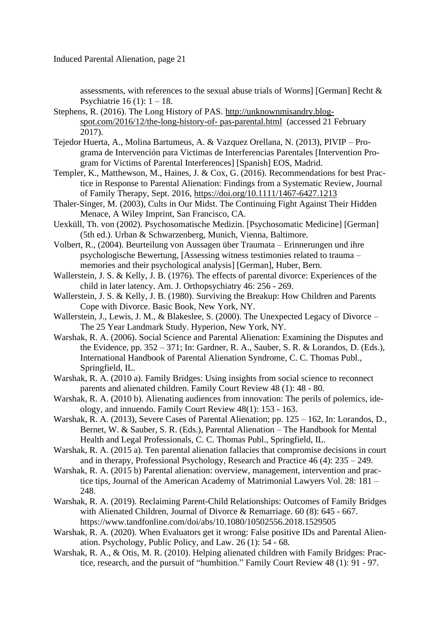assessments, with references to the sexual abuse trials of Worms] [German] Recht & Psychiatrie 16 (1):  $1 - 18$ .

- Stephens, R. (2016). The Long History of PAS. [http://unknownmisandry.blog](http://unknownmisandry.blogspot.com/2016/12/the-long-history-of- pas-parental.html)[spot.com/2016/12/the-long-history-of-](http://unknownmisandry.blogspot.com/2016/12/the-long-history-of- pas-parental.html) pas-parental.html (accessed 21 February 2017).
- Tejedor Huerta, A., Molina Bartumeus, A. & Vazquez Orellana, N. (2013), PIVIP Programa de Intervención para Victimas de Interferencias Parentales [Intervention Program for Victims of Parental Interferences] [Spanish] EOS, Madrid.
- Templer, K., Matthewson, M., Haines, J. & Cox, G. (2016). Recommendations for best Practice in Response to Parental Alienation: Findings from a Systematic Review, Journal of Family Therapy, Sept. 2016,<https://doi.org/10.1111/1467-6427.1213>
- Thaler-Singer, M. (2003), Cults in Our Midst. The Continuing Fight Against Their Hidden Menace, A Wiley Imprint, San Francisco, CA.
- Uexküll, Th. von (2002). Psychosomatische Medizin. [Psychosomatic Medicine] [German] (5th ed.). Urban & Schwarzenberg, Munich, Vienna, Baltimore.
- Volbert, R., (2004). Beurteilung von Aussagen über Traumata Erinnerungen und ihre psychologische Bewertung, [Assessing witness testimonies related to trauma – memories and their psychological analysis] [German], Huber, Bern.
- Wallerstein, J. S. & Kelly, J. B. (1976). The effects of parental divorce: Experiences of the child in later latency. Am. J. Orthopsychiatry 46: 256 - 269.
- Wallerstein, J. S. & Kelly, J. B. (1980). Surviving the Breakup: How Children and Parents Cope with Divorce. Basic Book, New York, NY.
- Wallerstein, J., Lewis, J. M., & Blakeslee, S. (2000). The Unexpected Legacy of Divorce The 25 Year Landmark Study. Hyperion, New York, NY.
- Warshak, R. A. (2006). Social Science and Parental Alienation: Examining the Disputes and the Evidence, pp. 352 – 371; In: Gardner, R. A., Sauber, S. R. & Lorandos, D. (Eds.), International Handbook of Parental Alienation Syndrome, C. C. Thomas Publ., Springfield, IL.
- Warshak, R. A. (2010 a). Family Bridges: Using insights from social science to reconnect parents and alienated children. Family Court Review 48 (1): 48 - 80.
- Warshak, R. A. (2010 b). Alienating audiences from innovation: The perils of polemics, ideology, and innuendo. Family Court Review 48(1): 153 - 163.
- Warshak, R. A. (2013), Severe Cases of Parental Alienation; pp. 125 162, In: Lorandos, D., Bernet, W. & Sauber, S. R. (Eds.), Parental Alienation – The Handbook for Mental Health and Legal Professionals, C. C. Thomas Publ., Springfield, IL.
- Warshak, R. A. (2015 a). Ten parental alienation fallacies that compromise decisions in court and in therapy, Professional Psychology, Research and Practice 46 (4): 235 – 249.
- Warshak, R. A. (2015 b) Parental alienation: overview, management, intervention and practice tips, Journal of the American Academy of Matrimonial Lawyers Vol. 28: 181 – 248.
- Warshak, R. A. (2019). Reclaiming Parent-Child Relationships: Outcomes of Family Bridges with Alienated Children, Journal of Divorce & Remarriage. 60 (8): 645 - 667. https://www.tandfonline.com/doi/abs/10.1080/10502556.2018.1529505
- Warshak, R. A. (2020). When Evaluators get it wrong: False positive IDs and Parental Alienation. Psychology, Public Policy, and Law. 26 (1): 54 - 68.
- Warshak, R. A., & Otis, M. R. (2010). Helping alienated children with Family Bridges: Practice, research, and the pursuit of "humbition." Family Court Review 48 (1): 91 - 97.